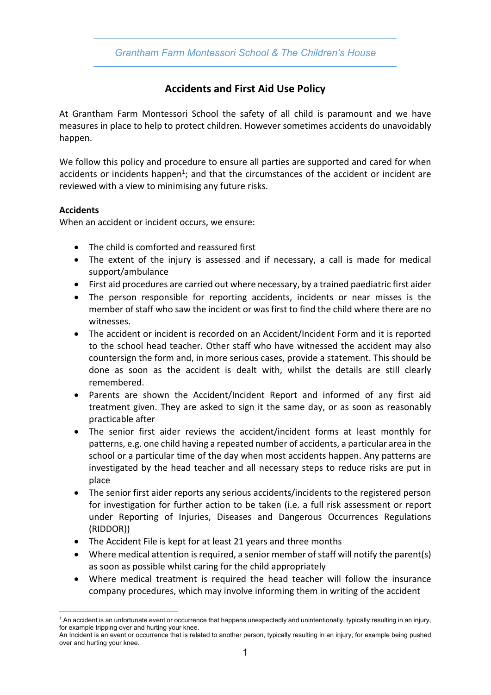*Grantham Farm Montessori School & The Children's House*

# **Accidents and First Aid Use Policy**

At Grantham Farm Montessori School the safety of all child is paramount and we have measures in place to help to protect children. However sometimes accidents do unavoidably happen.

We follow this policy and procedure to ensure all parties are supported and cared for when accidents or incidents happen<sup>1</sup>; and that the circumstances of the accident or incident are reviewed with a view to minimising any future risks.

## **Accidents**

When an accident or incident occurs, we ensure:

- The child is comforted and reassured first
- The extent of the injury is assessed and if necessary, a call is made for medical support/ambulance
- First aid procedures are carried out where necessary, by a trained paediatric first aider
- The person responsible for reporting accidents, incidents or near misses is the member of staff who saw the incident or was first to find the child where there are no witnesses.
- The accident or incident is recorded on an Accident/Incident Form and it is reported to the school head teacher. Other staff who have witnessed the accident may also countersign the form and, in more serious cases, provide a statement. This should be done as soon as the accident is dealt with, whilst the details are still clearly remembered.
- Parents are shown the Accident/Incident Report and informed of any first aid treatment given. They are asked to sign it the same day, or as soon as reasonably practicable after
- The senior first aider reviews the accident/incident forms at least monthly for patterns, e.g. one child having a repeated number of accidents, a particular area in the school or a particular time of the day when most accidents happen. Any patterns are investigated by the head teacher and all necessary steps to reduce risks are put in place
- The senior first aider reports any serious accidents/incidents to the registered person for investigation for further action to be taken (i.e. a full risk assessment or report under Reporting of Injuries, Diseases and Dangerous Occurrences Regulations (RIDDOR))
- The Accident File is kept for at least 21 years and three months
- Where medical attention is required, a senior member of staff will notify the parent(s) as soon as possible whilst caring for the child appropriately
- Where medical treatment is required the head teacher will follow the insurance company procedures, which may involve informing them in writing of the accident

<sup>&</sup>lt;sup>1</sup> An accident is an unfortunate event or occurrence that happens unexpectedly and unintentionally, typically resulting in an injury, for example tripping over and hurting your knee.

An Incident is an event or occurrence that is related to another person, typically resulting in an injury, for example being pushed over and hurting your knee.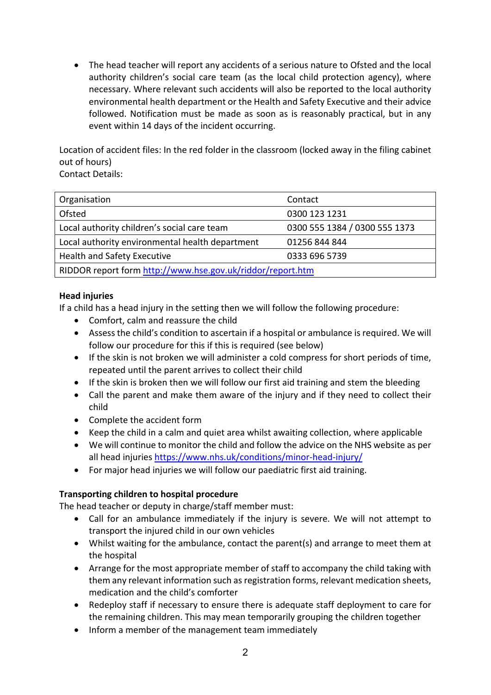• The head teacher will report any accidents of a serious nature to Ofsted and the local authority children's social care team (as the local child protection agency), where necessary. Where relevant such accidents will also be reported to the local authority environmental health department or the Health and Safety Executive and their advice followed. Notification must be made as soon as is reasonably practical, but in any event within 14 days of the incident occurring.

Location of accident files: In the red folder in the classroom (locked away in the filing cabinet out of hours)

Contact Details:

| Organisation                                               | Contact                       |  |
|------------------------------------------------------------|-------------------------------|--|
| Ofsted                                                     | 0300 123 1231                 |  |
| Local authority children's social care team                | 0300 555 1384 / 0300 555 1373 |  |
| Local authority environmental health department            | 01256 844 844                 |  |
| <b>Health and Safety Executive</b>                         | 0333 696 5739                 |  |
| RIDDOR report form http://www.hse.gov.uk/riddor/report.htm |                               |  |

## **Head injuries**

If a child has a head injury in the setting then we will follow the following procedure:

- Comfort, calm and reassure the child
- Assess the child's condition to ascertain if a hospital or ambulance is required. We will follow our procedure for this if this is required (see below)
- If the skin is not broken we will administer a cold compress for short periods of time, repeated until the parent arrives to collect their child
- If the skin is broken then we will follow our first aid training and stem the bleeding
- Call the parent and make them aware of the injury and if they need to collect their child
- Complete the accident form
- Keep the child in a calm and quiet area whilst awaiting collection, where applicable
- We will continue to monitor the child and follow the advice on the NHS website as per all head injuries https://www.nhs.uk/conditions/minor-head-injury/
- For major head injuries we will follow our paediatric first aid training.

#### **Transporting children to hospital procedure**

The head teacher or deputy in charge/staff member must:

- Call for an ambulance immediately if the injury is severe. We will not attempt to transport the injured child in our own vehicles
- Whilst waiting for the ambulance, contact the parent(s) and arrange to meet them at the hospital
- Arrange for the most appropriate member of staff to accompany the child taking with them any relevant information such as registration forms, relevant medication sheets, medication and the child's comforter
- Redeploy staff if necessary to ensure there is adequate staff deployment to care for the remaining children. This may mean temporarily grouping the children together
- Inform a member of the management team immediately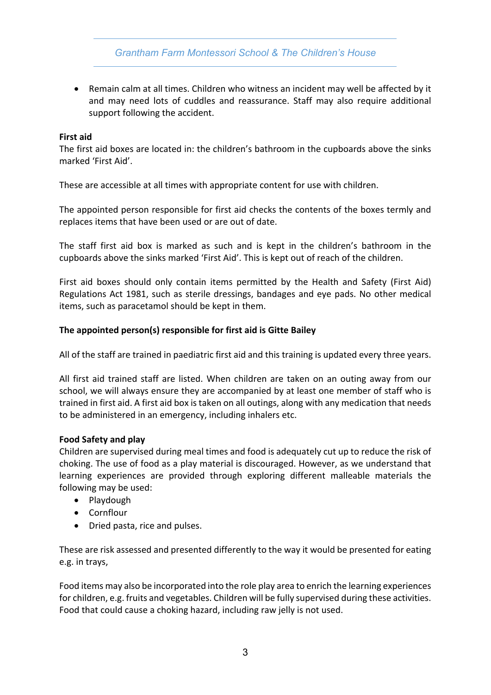*Grantham Farm Montessori School & The Children's House*

• Remain calm at all times. Children who witness an incident may well be affected by it and may need lots of cuddles and reassurance. Staff may also require additional support following the accident.

#### **First aid**

The first aid boxes are located in: the children's bathroom in the cupboards above the sinks marked 'First Aid'.

These are accessible at all times with appropriate content for use with children.

The appointed person responsible for first aid checks the contents of the boxes termly and replaces items that have been used or are out of date.

The staff first aid box is marked as such and is kept in the children's bathroom in the cupboards above the sinks marked 'First Aid'. This is kept out of reach of the children.

First aid boxes should only contain items permitted by the Health and Safety (First Aid) Regulations Act 1981, such as sterile dressings, bandages and eye pads. No other medical items, such as paracetamol should be kept in them.

## **The appointed person(s) responsible for first aid is Gitte Bailey**

All of the staff are trained in paediatric first aid and this training is updated every three years.

All first aid trained staff are listed. When children are taken on an outing away from our school, we will always ensure they are accompanied by at least one member of staff who is trained in first aid. A first aid box is taken on all outings, along with any medication that needs to be administered in an emergency, including inhalers etc.

## **Food Safety and play**

Children are supervised during meal times and food is adequately cut up to reduce the risk of choking. The use of food as a play material is discouraged. However, as we understand that learning experiences are provided through exploring different malleable materials the following may be used:

- Playdough
- Cornflour
- Dried pasta, rice and pulses.

These are risk assessed and presented differently to the way it would be presented for eating e.g. in trays,

Food items may also be incorporated into the role play area to enrich the learning experiences for children, e.g. fruits and vegetables. Children will be fully supervised during these activities. Food that could cause a choking hazard, including raw jelly is not used.